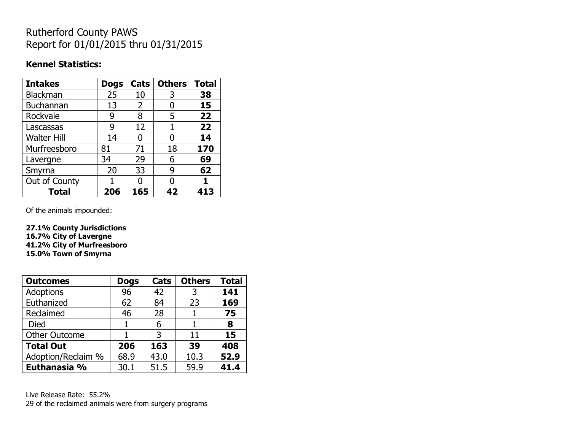# Rutherford County PAWS Report for 01/01/2015 thru 01/31/2015

#### **Kennel Statistics:**

| <b>Intakes</b>     | <b>Dogs</b> | Cats | <b>Others</b> | <b>Total</b> |
|--------------------|-------------|------|---------------|--------------|
| <b>Blackman</b>    | 25          | 10   | 3             | 38           |
| <b>Buchannan</b>   | 13          | 2    | 0             | 15           |
| Rockvale           | 9           | 8    | 5             | 22           |
| Lascassas          | 9           | 12   |               | 22           |
| <b>Walter Hill</b> | 14          | 0    | 0             | 14           |
| Murfreesboro       | 81          | 71   | 18            | 170          |
| Lavergne           | 34          | 29   | 6             | 69           |
| Smyrna             | 20          | 33   | 9             | 62           |
| Out of County      |             | n    | 0             |              |
| <b>Total</b>       | 206         | 165  | 42            | 413          |

Of the animals impounded:

**27.1% County Jurisdictions 16.7% City of Lavergne 41.2% City of Murfreesboro 15.0% Town of Smyrna**

| <b>Outcomes</b>      | <b>Dogs</b> | Cats | <b>Others</b> | <b>Total</b> |
|----------------------|-------------|------|---------------|--------------|
| <b>Adoptions</b>     | 96          | 42   | 3             | 141          |
| Euthanized           | 62          | 84   | 23            | 169          |
| Reclaimed            | 46          | 28   |               | 75           |
| Died                 |             | 6    |               | 8            |
| <b>Other Outcome</b> |             | 3    | 11            | 15           |
| <b>Total Out</b>     | 206         | 163  | 39            | 408          |
| Adoption/Reclaim %   | 68.9        | 43.0 | 10.3          | 52.9         |
| Euthanasia %         | 30.1        | 51.5 | 59.9          | 41.4         |

Live Release Rate: 55.2% 29 of the reclaimed animals were from surgery programs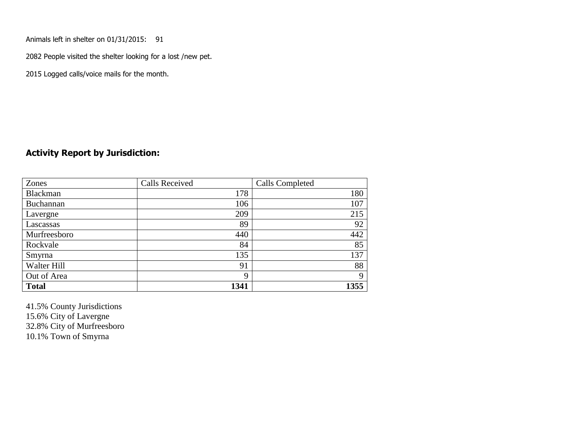Animals left in shelter on 01/31/2015: 91

2082 People visited the shelter looking for a lost /new pet.

2015 Logged calls/voice mails for the month.

#### **Activity Report by Jurisdiction:**

| Zones        | <b>Calls Received</b> | Calls Completed |
|--------------|-----------------------|-----------------|
| Blackman     | 178                   | 180             |
| Buchannan    | 106                   | 107             |
| Lavergne     | 209                   | 215             |
| Lascassas    | 89                    | 92              |
| Murfreesboro | 440                   | 442             |
| Rockvale     | 84                    | 85              |
| Smyrna       | 135                   | 137             |
| Walter Hill  | 91                    | 88              |
| Out of Area  | 9                     | 9               |
| <b>Total</b> | 1341                  | 1355            |

41.5% County Jurisdictions 15.6% City of Lavergne 32.8% City of Murfreesboro 10.1% Town of Smyrna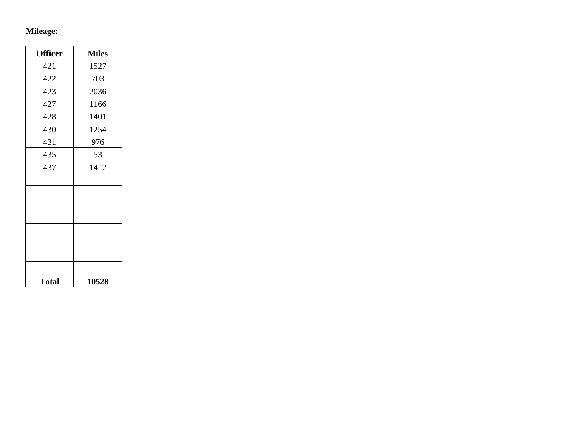# **Mileage:**

| <b>Officer</b> | <b>Miles</b> |
|----------------|--------------|
| 421            | 1527         |
| 422            | 703          |
| 423            | 2036         |
| 427            | 1166         |
| 428            | 1401         |
| 430            | 1254         |
| 431            | 976          |
| 435            | 53           |
| 437            | 1412         |
|                |              |
|                |              |
|                |              |
|                |              |
|                |              |
|                |              |
|                |              |
|                |              |
| <b>Total</b>   | 10528        |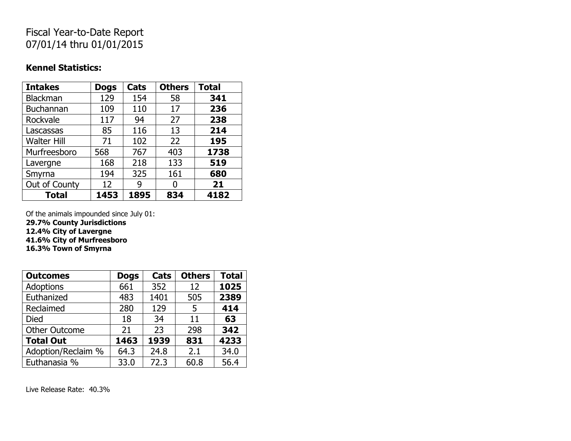# Fiscal Year-to-Date Report 07/01/14 thru 01/01/2015

#### **Kennel Statistics:**

| <b>Intakes</b>     | <b>Dogs</b> | Cats | <b>Others</b> | <b>Total</b> |
|--------------------|-------------|------|---------------|--------------|
| Blackman           | 129         | 154  | 58            | 341          |
| <b>Buchannan</b>   | 109         | 110  | 17            | 236          |
| Rockvale           | 117         | 94   | 27            | 238          |
| Lascassas          | 85          | 116  | 13            | 214          |
| <b>Walter Hill</b> | 71          | 102  | 22            | 195          |
| Murfreesboro       | 568         | 767  | 403           | 1738         |
| Lavergne           | 168         | 218  | 133           | 519          |
| Smyrna             | 194         | 325  | 161           | 680          |
| Out of County      | 12          | g    |               | 21           |
| <b>Total</b>       | 1453        | 1895 | 834           | 4182         |

Of the animals impounded since July 01:

**29.7% County Jurisdictions**

**12.4% City of Lavergne**

**41.6% City of Murfreesboro**

**16.3% Town of Smyrna**

| <b>Outcomes</b>      | <b>Dogs</b> | Cats | <b>Others</b> | <b>Total</b> |
|----------------------|-------------|------|---------------|--------------|
| <b>Adoptions</b>     | 661         | 352  | 12            | 1025         |
| Euthanized           | 483         | 1401 | 505           | 2389         |
| Reclaimed            | 280         | 129  | 5             | 414          |
| <b>Died</b>          | 18          | 34   | 11            | 63           |
| <b>Other Outcome</b> | 21          | 23   | 298           | 342          |
| <b>Total Out</b>     | 1463        | 1939 | 831           | 4233         |
| Adoption/Reclaim %   | 64.3        | 24.8 | 2.1           | 34.0         |
| Euthanasia %         | 33.0        | 72.3 | 60.8          | 56.4         |

Live Release Rate: 40.3%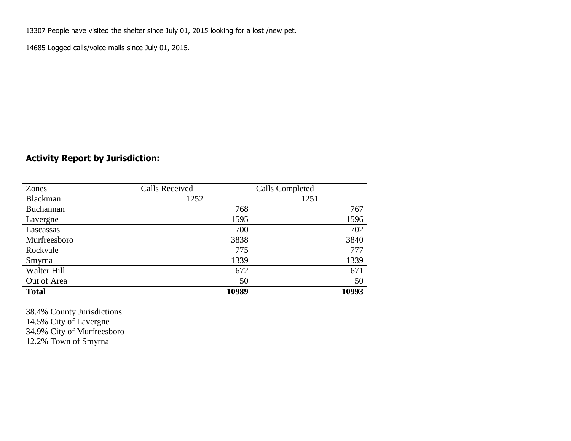13307 People have visited the shelter since July 01, 2015 looking for a lost /new pet.

14685 Logged calls/voice mails since July 01, 2015.

## **Activity Report by Jurisdiction:**

| Zones           | <b>Calls Received</b> | Calls Completed |
|-----------------|-----------------------|-----------------|
| <b>Blackman</b> | 1252                  | 1251            |
| Buchannan       | 768                   | 767             |
| Lavergne        | 1595                  | 1596            |
| Lascassas       | 700                   | 702             |
| Murfreesboro    | 3838                  | 3840            |
| Rockvale        | 775                   | 777             |
| Smyrna          | 1339                  | 1339            |
| Walter Hill     | 672                   | 671             |
| Out of Area     | 50                    | 50              |
| <b>Total</b>    | 10989                 | 10993           |

38.4% County Jurisdictions 14.5% City of Lavergne 34.9% City of Murfreesboro 12.2% Town of Smyrna